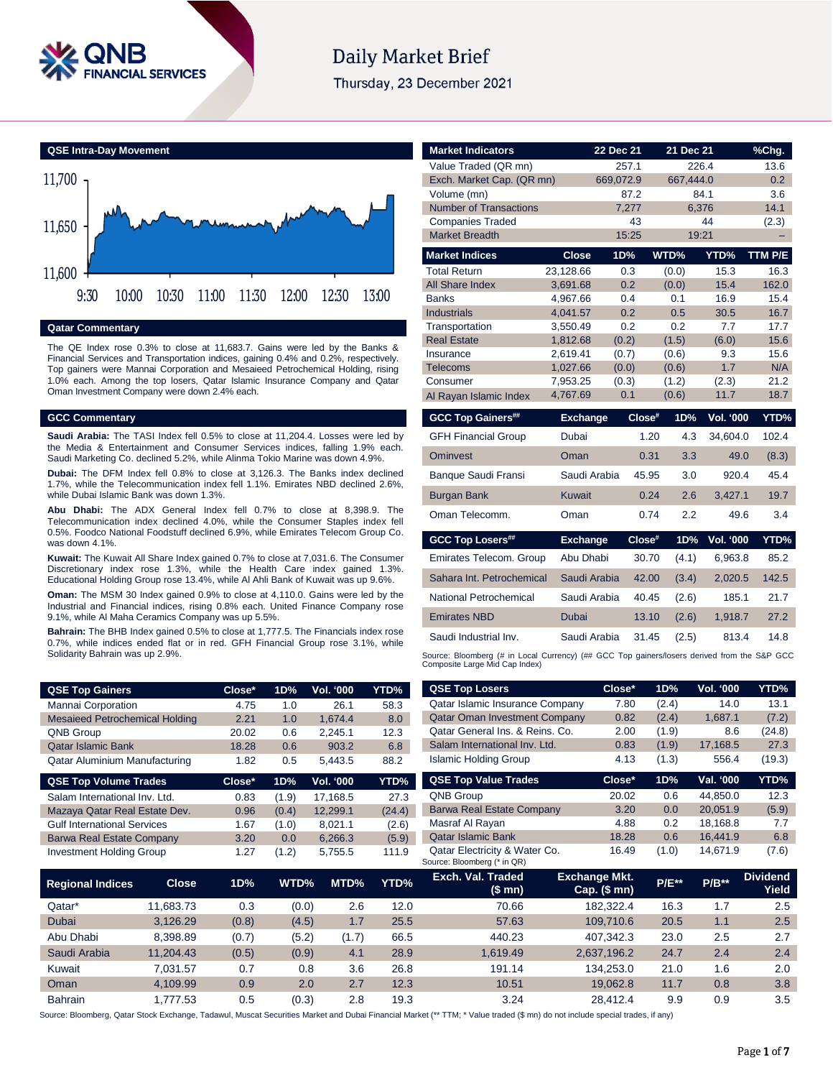

# Daily Market Brief

Thursday, 23 December 2021

**QSE Intra-Day Movement**



#### **Qatar Commentary**

The QE Index rose 0.3% to close at 11,683.7. Gains were led by the Banks & Financial Services and Transportation indices, gaining 0.4% and 0.2%, respectively. Top gainers were Mannai Corporation and Mesaieed Petrochemical Holding, rising 1.0% each. Among the top losers, Qatar Islamic Insurance Company and Qatar Oman Investment Company were down 2.4% each.

#### **GCC Commentary**

**Saudi Arabia:** The TASI Index fell 0.5% to close at 11,204.4. Losses were led by the Media & Entertainment and Consumer Services indices, falling 1.9% each. Saudi Marketing Co. declined 5.2%, while Alinma Tokio Marine was down 4.9%.

**Dubai:** The DFM Index fell 0.8% to close at 3,126.3. The Banks index declined 1.7%, while the Telecommunication index fell 1.1%. Emirates NBD declined 2.6%, while Dubai Islamic Bank was down 1.3%.

**Abu Dhabi:** The ADX General Index fell 0.7% to close at 8,398.9. The Telecommunication index declined 4.0%, while the Consumer Staples index fell 0.5%. Foodco National Foodstuff declined 6.9%, while Emirates Telecom Group Co. was down 4.1%.

**Kuwait:** The Kuwait All Share Index gained 0.7% to close at 7,031.6. The Consumer Discretionary index rose 1.3%, while the Health Care index gained 1.3%. Educational Holding Group rose 13.4%, while Al Ahli Bank of Kuwait was up 9.6%.

**Oman:** The MSM 30 Index gained 0.9% to close at 4,110.0. Gains were led by the Industrial and Financial indices, rising 0.8% each. United Finance Company rose 9.1%, while Al Maha Ceramics Company was up 5.5%.

**Bahrain:** The BHB Index gained 0.5% to close at 1,777.5. The Financials index rose 0.7%, while indices ended flat or in red. GFH Financial Group rose 3.1%, while Solidarity Bahrain was up 2.9%.

| <b>QSE Top Gainers</b>                | Close* | 1D% | <b>Vol. '000</b> | YTD% |
|---------------------------------------|--------|-----|------------------|------|
| Mannai Corporation                    | 4.75   | 1.0 | 26.1             | 58.3 |
| <b>Mesaieed Petrochemical Holding</b> | 2.21   | 1.0 | 1.674.4          | 8.0  |
| QNB Group                             | 20.02  | 0.6 | 2.245.1          | 12.3 |
| <b>Qatar Islamic Bank</b>             | 18.28  | 0.6 | 903.2            | 6.8  |
| Qatar Aluminium Manufacturing         | 1.82   | 0.5 | 5.443.5          | 88.2 |

| <b>QSE Top Volume Trades</b>       | Close* | 1D%   | Vol. '000 | YTD%   |
|------------------------------------|--------|-------|-----------|--------|
| Salam International Inv. Ltd.      | 0.83   | (1.9) | 17,168.5  | 27.3   |
| Mazaya Qatar Real Estate Dev.      | 0.96   | (0.4) | 12.299.1  | (24.4) |
| <b>Gulf International Services</b> | 1.67   | (1.0) | 8.021.1   | (2.6)  |
| <b>Barwa Real Estate Company</b>   | 3.20   | 0.0   | 6,266.3   | (5.9)  |
| <b>Investment Holding Group</b>    | 1.27   | (1.2) | 5.755.5   | 111.9  |

| <b>Market Indicators</b>                                                                                                      |                      | 22 Dec 21    | 21 Dec 21      |                  | $%$ Chg.     |
|-------------------------------------------------------------------------------------------------------------------------------|----------------------|--------------|----------------|------------------|--------------|
| Value Traded (QR mn)                                                                                                          |                      | 257.1        |                | 226.4            | 13.6         |
| Exch. Market Cap. (QR mn)                                                                                                     |                      | 669,072.9    | 667.444.0      |                  | 0.2          |
| Volume (mn)                                                                                                                   |                      | 87.2         |                | 84.1             | 3.6          |
| <b>Number of Transactions</b>                                                                                                 |                      | 7.277        |                | 6.376            | 14.1         |
| <b>Companies Traded</b>                                                                                                       |                      | 43           |                | 44               | (2.3)        |
| <b>Market Breadth</b>                                                                                                         |                      | 15:25        |                | 19:21            |              |
| <b>Market Indices</b>                                                                                                         | Close                | 1D%          | WTD%           | YTD%             | TTM P/E      |
| <b>Total Return</b>                                                                                                           | 23,128.66            | 0.3          | (0.0)          | 15.3             | 16.3         |
| All Share Index                                                                                                               | 3,691.68             | 0.2          | (0.0)          | 15.4             | 162.0        |
| <b>Banks</b>                                                                                                                  | 4,967.66             | 0.4          | 0.1            | 16.9             | 15.4         |
| <b>Industrials</b>                                                                                                            | 4,041.57             | 0.2          | 0.5            | 30.5             | 16.7         |
| Transportation<br><b>Real Estate</b>                                                                                          | 3,550.49<br>1,812.68 | 0.2<br>(0.2) | 0.2<br>(1.5)   | 7.7<br>(6.0)     | 17.7<br>15.6 |
| Insurance                                                                                                                     | 2,619.41             | (0.7)        | (0.6)          | 9.3              | 15.6         |
| Telecoms                                                                                                                      | 1,027.66             | (0.0)        | (0.6)          | 1.7              | N/A          |
| Consumer                                                                                                                      | 7.953.25             | (0.3)        | (1.2)          | (2.3)            | 21.2         |
| Al Rayan Islamic Index                                                                                                        | 4,767.69             | 0.1          | (0.6)          | 11.7             | 18.7         |
|                                                                                                                               |                      |              |                |                  |              |
|                                                                                                                               | <b>Exchange</b>      | $Close^*$    | 1D%            | <b>Vol. '000</b> | YTD%         |
| <b>GCC Top Gainers##</b><br><b>GFH Financial Group</b>                                                                        | Dubai                |              | 1.20<br>4.3    | 34.604.0         | 102.4        |
| <b>Ominvest</b>                                                                                                               | Oman                 |              | 0.31<br>3.3    | 49.0             | (8.3)        |
| Banque Saudi Fransi                                                                                                           | Saudi Arabia         |              | 3.0<br>45.95   | 920.4            | 45.4         |
| <b>Burgan Bank</b>                                                                                                            | <b>Kuwait</b>        |              | 0.24<br>2.6    | 3.427.1          | 19.7         |
| Oman Telecomm.                                                                                                                | Oman                 |              | 2.2<br>0.74    | 49.6             | 3.4          |
| <b>GCC Top Losers##</b>                                                                                                       | <b>Exchange</b>      | Close#       | 1D%            | Vol. '000        | YTD%         |
| Emirates Telecom. Group                                                                                                       | Abu Dhabi            |              | 30.70<br>(4.1) | 6,963.8          | 85.2         |
| Sahara Int. Petrochemical                                                                                                     | Saudi Arabia         |              | 42.00<br>(3.4) | 2,020.5          | 142.5        |
| National Petrochemical                                                                                                        | Saudi Arabia         |              | 40.45<br>(2.6) | 185.1            | 21.7         |
| <b>Emirates NBD</b>                                                                                                           | Dubai                |              | 13.10<br>(2.6) | 1,918.7          | 27.2         |
| Saudi Industrial Inv.                                                                                                         | Saudi Arabia         |              | 31.45<br>(2.5) | 813.4            | 14.8         |
| Source: Bloomberg (# in Local Currency) (## GCC Top gainers/losers derived from the S&P GCC<br>Composite Large Mid Cap Index) |                      |              |                |                  |              |

| <b>QSE Top Gainers</b>                |              | Close* | 1D%   | Vol. '000 | YTD%   | <b>QSE Top Losers</b>                                        | Close*                               | 1D%          | Vol. '000 | YTD%                     |
|---------------------------------------|--------------|--------|-------|-----------|--------|--------------------------------------------------------------|--------------------------------------|--------------|-----------|--------------------------|
| Mannai Corporation                    |              | 4.75   | 1.0   | 26.1      | 58.3   | Qatar Islamic Insurance Company                              | 7.80                                 | (2.4)        | 14.0      | 13.1                     |
| <b>Mesaieed Petrochemical Holding</b> |              | 2.21   | 1.0   | 1,674.4   | 8.0    | <b>Qatar Oman Investment Company</b>                         | 0.82                                 | (2.4)        | 1,687.1   | (7.2)                    |
| QNB Group                             |              | 20.02  | 0.6   | 2,245.1   | 12.3   | Qatar General Ins. & Reins. Co.                              | 2.00                                 | (1.9)        | 8.6       | (24.8)                   |
| <b>Qatar Islamic Bank</b>             |              | 18.28  | 0.6   | 903.2     | 6.8    | Salam International Inv. Ltd.                                | 0.83                                 | (1.9)        | 17,168.5  | 27.3                     |
| Qatar Aluminium Manufacturing         |              | 1.82   | 0.5   | 5,443.5   | 88.2   | <b>Islamic Holding Group</b>                                 | 4.13                                 | (1.3)        | 556.4     | (19.3)                   |
| <b>QSE Top Volume Trades</b>          |              | Close* | 1D%   | Vol. '000 | YTD%   | <b>QSE Top Value Trades</b>                                  | Close*                               | 1D%          | Val. '000 | YTD%                     |
| Salam International Inv. Ltd.         |              | 0.83   | (1.9) | 17,168.5  | 27.3   | QNB Group                                                    | 20.02                                | 0.6          | 44,850.0  | 12.3                     |
| Mazaya Qatar Real Estate Dev.         |              | 0.96   | (0.4) | 12,299.1  | (24.4) | <b>Barwa Real Estate Company</b>                             | 3.20                                 | 0.0          | 20,051.9  | (5.9)                    |
| <b>Gulf International Services</b>    |              | 1.67   | (1.0) | 8,021.1   | (2.6)  | Masraf Al Rayan                                              | 4.88                                 | 0.2          | 18,168.8  | 7.7                      |
| <b>Barwa Real Estate Company</b>      |              | 3.20   | 0.0   | 6,266.3   | (5.9)  | <b>Qatar Islamic Bank</b>                                    | 18.28                                | 0.6          | 16,441.9  | 6.8                      |
| <b>Investment Holding Group</b>       |              | 1.27   | (1.2) | 5,755.5   | 111.9  | Qatar Electricity & Water Co.<br>Source: Bloomberg (* in QR) | 16.49                                | (1.0)        | 14,671.9  | (7.6)                    |
| <b>Regional Indices</b>               | <b>Close</b> | 1D%    | WTD%  | MTD%      | YTD%   | Exch. Val. Traded<br>(\$ mn)                                 | <b>Exchange Mkt.</b><br>Cap. $($mn)$ | <b>P/E**</b> | $P/B**$   | <b>Dividend</b><br>Yield |
| Qatar*                                | 11,683.73    | 0.3    | (0.0) | 2.6       | 12.0   | 70.66                                                        | 182,322.4                            | 16.3         | 1.7       | 2.5                      |
| Dubai                                 | 3,126.29     | (0.8)  | (4.5) | 1.7       | 25.5   | 57.63                                                        | 109,710.6                            | 20.5         | 1.1       | 2.5                      |
| Abu Dhabi                             | 8,398.89     | (0.7)  | (5.2) | (1.7)     | 66.5   | 440.23                                                       | 407,342.3                            | 23.0         | 2.5       | 2.7                      |
| Saudi Arabia                          | 11,204.43    | (0.5)  | (0.9) | 4.1       | 28.9   | 1,619.49                                                     | 2,637,196.2                          | 24.7         | 2.4       | 2.4                      |
| Kuwait                                | 7,031.57     | 0.7    | 0.8   | 3.6       | 26.8   | 191.14                                                       | 134,253.0                            | 21.0         | 1.6       | 2.0                      |
| Oman                                  | 4,109.99     | 0.9    | 2.0   | 2.7       | 12.3   | 10.51                                                        | 19,062.8                             | 11.7         | 0.8       | 3.8                      |
| Bahrain                               | 1,777.53     | 0.5    | (0.3) | 2.8       | 19.3   | 3.24                                                         | 28,412.4                             | 9.9          | 0.9       | 3.5                      |

Source: Bloomberg, Qatar Stock Exchange, Tadawul, Muscat Securities Market and Dubai Financial Market (\*\* TTM; \* Value traded (\$ mn) do not include special trades, if any)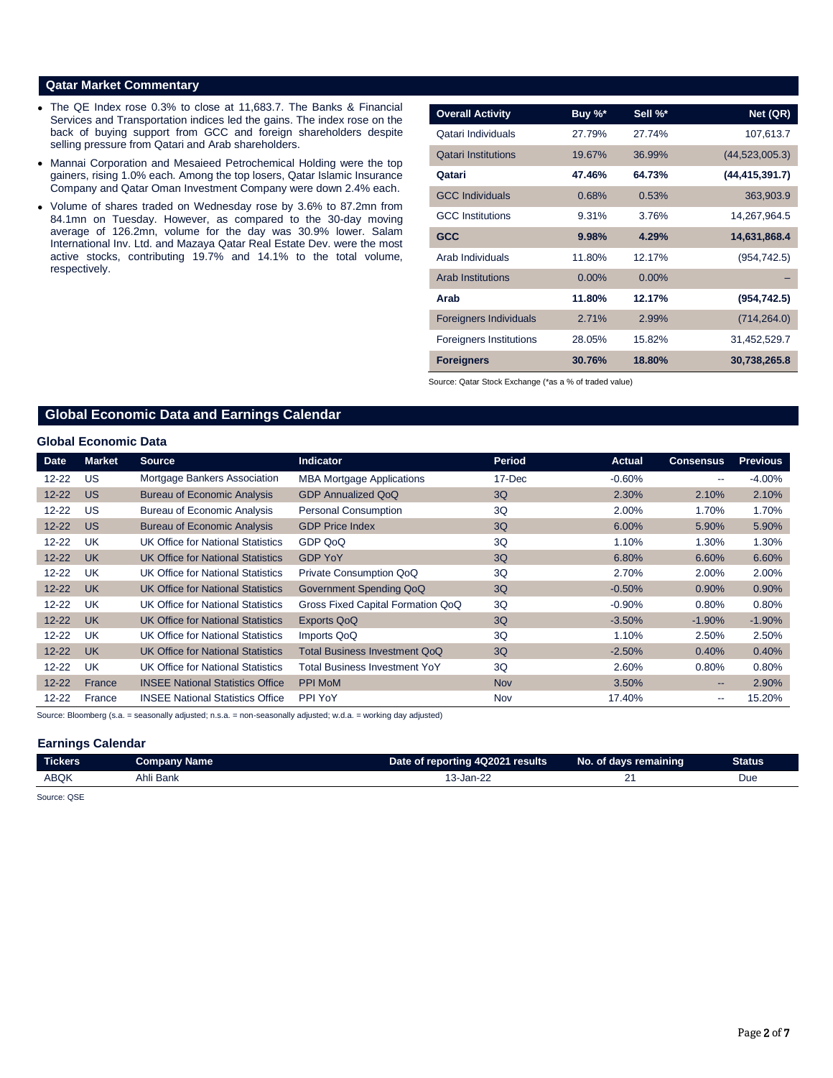### **Qatar Market Commentary**

- The QE Index rose 0.3% to close at 11,683.7. The Banks & Financial Services and Transportation indices led the gains. The index rose on the back of buying support from GCC and foreign shareholders despite selling pressure from Qatari and Arab shareholders.
- Mannai Corporation and Mesaieed Petrochemical Holding were the top gainers, rising 1.0% each. Among the top losers, Qatar Islamic Insurance Company and Qatar Oman Investment Company were down 2.4% each.
- Volume of shares traded on Wednesday rose by 3.6% to 87.2mn from 84.1mn on Tuesday. However, as compared to the 30-day moving average of 126.2mn, volume for the day was 30.9% lower. Salam International Inv. Ltd. and Mazaya Qatar Real Estate Dev. were the most active stocks, contributing 19.7% and 14.1% to the total volume, respectively.

| <b>Overall Activity</b>        | Buy $\%^*$ | Sell %*  | Net (QR)         |
|--------------------------------|------------|----------|------------------|
| Qatari Individuals             | 27.79%     | 27.74%   | 107,613.7        |
| <b>Qatari Institutions</b>     | 19.67%     | 36.99%   | (44, 523, 005.3) |
| Qatari                         | 47.46%     | 64.73%   | (44, 415, 391.7) |
| <b>GCC Individuals</b>         | 0.68%      | 0.53%    | 363,903.9        |
| <b>GCC</b> Institutions        | 9.31%      | 3.76%    | 14,267,964.5     |
| <b>GCC</b>                     | 9.98%      | 4.29%    | 14,631,868.4     |
| Arab Individuals               | 11.80%     | 12.17%   | (954, 742.5)     |
| <b>Arab Institutions</b>       | $0.00\%$   | $0.00\%$ |                  |
| Arab                           | 11.80%     | 12.17%   | (954, 742.5)     |
| <b>Foreigners Individuals</b>  | 2.71%      | 2.99%    | (714, 264.0)     |
| <b>Foreigners Institutions</b> | 28.05%     | 15.82%   | 31,452,529.7     |
| <b>Foreigners</b>              | 30.76%     | 18.80%   | 30,738,265.8     |

Source: Qatar Stock Exchange (\*as a % of traded value)

# **Global Economic Data and Earnings Calendar**

#### **Global Economic Data**

| <b>Date</b> | <b>Market</b> | <b>Source</b>                            | <b>Indicator</b>                  | <b>Period</b> | <b>Actual</b> | <b>Consensus</b>  | <b>Previous</b> |
|-------------|---------------|------------------------------------------|-----------------------------------|---------------|---------------|-------------------|-----------------|
| $12 - 22$   | US            | Mortgage Bankers Association             | <b>MBA Mortgage Applications</b>  | 17-Dec        | $-0.60%$      | $- -$             | $-4.00%$        |
| $12 - 22$   | <b>US</b>     | <b>Bureau of Economic Analysis</b>       | <b>GDP Annualized QoQ</b>         | 3Q            | 2.30%         | 2.10%             | 2.10%           |
| $12 - 22$   | US.           | <b>Bureau of Economic Analysis</b>       | <b>Personal Consumption</b>       | 3Q            | 2.00%         | 1.70%             | 1.70%           |
| $12 - 22$   | <b>US</b>     | <b>Bureau of Economic Analysis</b>       | <b>GDP Price Index</b>            | 3Q            | $6.00\%$      | 5.90%             | 5.90%           |
| $12 - 22$   | UK            | UK Office for National Statistics        | GDP QoQ                           | 3Q            | 1.10%         | 1.30%             | 1.30%           |
| $12 - 22$   | <b>UK</b>     | UK Office for National Statistics        | <b>GDP YoY</b>                    | 3Q            | 6.80%         | 6.60%             | 6.60%           |
| $12 - 22$   | <b>UK</b>     | UK Office for National Statistics        | Private Consumption QoQ           | 3Q            | 2.70%         | 2.00%             | 2.00%           |
| $12 - 22$   | <b>UK</b>     | <b>UK Office for National Statistics</b> | Government Spending QoQ           | 3Q            | $-0.50%$      | 0.90%             | 0.90%           |
| $12 - 22$   | UK            | UK Office for National Statistics        | Gross Fixed Capital Formation QoQ | 3Q            | $-0.90%$      | 0.80%             | 0.80%           |
| $12 - 22$   | <b>UK</b>     | <b>UK Office for National Statistics</b> | <b>Exports QoQ</b>                | 3Q            | $-3.50%$      | $-1.90\%$         | $-1.90%$        |
| $12 - 22$   | <b>UK</b>     | UK Office for National Statistics        | Imports QoQ                       | 3Q            | 1.10%         | 2.50%             | 2.50%           |
| $12 - 22$   | <b>UK</b>     | UK Office for National Statistics        | Total Business Investment QoQ     | 3Q            | $-2.50%$      | 0.40%             | 0.40%           |
| $12 - 22$   | <b>UK</b>     | UK Office for National Statistics        | Total Business Investment YoY     | 3Q            | 2.60%         | 0.80%             | 0.80%           |
| $12 - 22$   | France        | <b>INSEE National Statistics Office</b>  | <b>PPI MoM</b>                    | <b>Nov</b>    | 3.50%         | $\qquad \qquad -$ | 2.90%           |
| $12 - 22$   | France        | <b>INSEE National Statistics Office</b>  | PPI YoY                           | Nov           | 17.40%        | $-$               | 15.20%          |

Source: Bloomberg (s.a. = seasonally adjusted; n.s.a. = non-seasonally adjusted; w.d.a. = working day adjusted)

#### **Earnings Calendar**

| --<br><b>Tickers</b> | <b>Company Name</b> | Date of reporting 4Q2021 results | No. of days remaining | Status |
|----------------------|---------------------|----------------------------------|-----------------------|--------|
| <b>ABQK</b>          | Ahli Bank           | 3-Jan-22                         |                       | Due    |

Source: QSE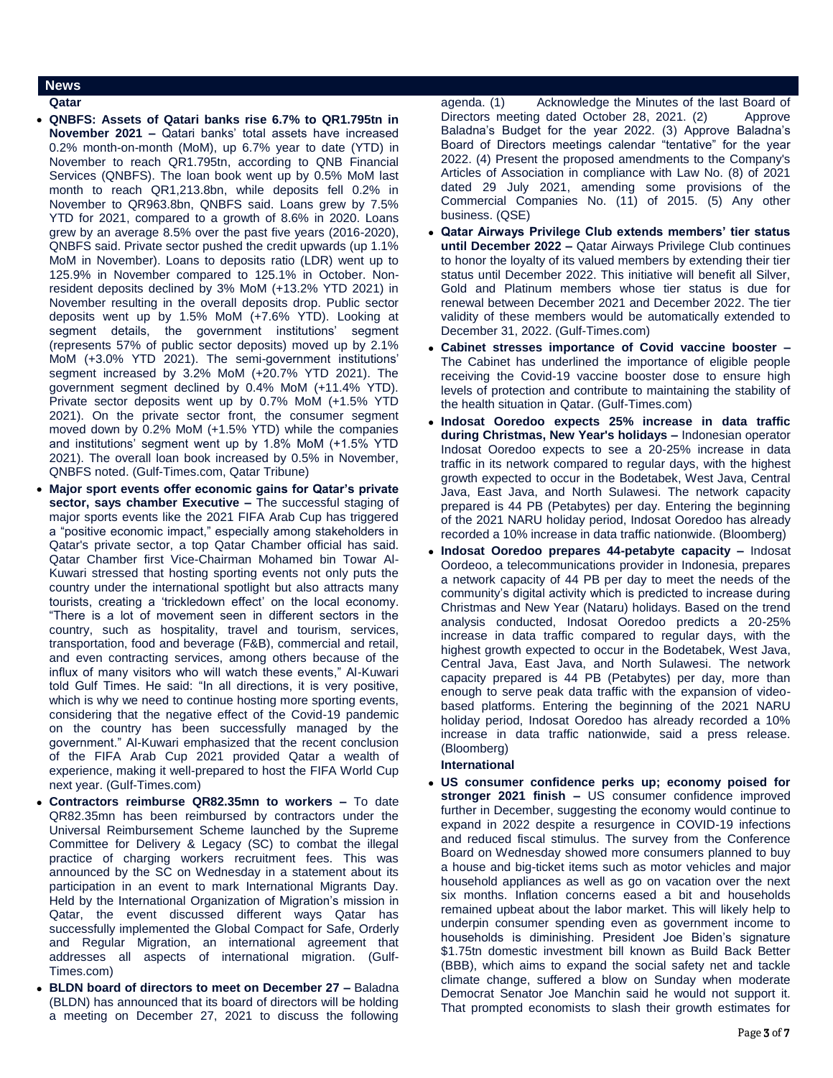### **News**

- **Qatar**
- **QNBFS: Assets of Qatari banks rise 6.7% to QR1.795tn in November 2021 –** Qatari banks' total assets have increased 0.2% month-on-month (MoM), up 6.7% year to date (YTD) in November to reach QR1.795tn, according to QNB Financial Services (QNBFS). The loan book went up by 0.5% MoM last month to reach QR1,213.8bn, while deposits fell 0.2% in November to QR963.8bn, QNBFS said. Loans grew by 7.5% YTD for 2021, compared to a growth of 8.6% in 2020. Loans grew by an average 8.5% over the past five years (2016-2020), QNBFS said. Private sector pushed the credit upwards (up 1.1% MoM in November). Loans to deposits ratio (LDR) went up to 125.9% in November compared to 125.1% in October. Nonresident deposits declined by 3% MoM (+13.2% YTD 2021) in November resulting in the overall deposits drop. Public sector deposits went up by 1.5% MoM (+7.6% YTD). Looking at segment details, the government institutions' segment (represents 57% of public sector deposits) moved up by 2.1% MoM (+3.0% YTD 2021). The semi-government institutions' segment increased by 3.2% MoM (+20.7% YTD 2021). The government segment declined by 0.4% MoM (+11.4% YTD). Private sector deposits went up by 0.7% MoM (+1.5% YTD 2021). On the private sector front, the consumer segment moved down by 0.2% MoM (+1.5% YTD) while the companies and institutions' segment went up by 1.8% MoM (+1.5% YTD 2021). The overall loan book increased by 0.5% in November, QNBFS noted. (Gulf-Times.com, Qatar Tribune)
- **Major sport events offer economic gains for Qatar's private sector, says chamber Executive –** The successful staging of major sports events like the 2021 FIFA Arab Cup has triggered a "positive economic impact," especially among stakeholders in Qatar's private sector, a top Qatar Chamber official has said. Qatar Chamber first Vice-Chairman Mohamed bin Towar Al-Kuwari stressed that hosting sporting events not only puts the country under the international spotlight but also attracts many tourists, creating a 'trickledown effect' on the local economy. "There is a lot of movement seen in different sectors in the country, such as hospitality, travel and tourism, services, transportation, food and beverage (F&B), commercial and retail, and even contracting services, among others because of the influx of many visitors who will watch these events," Al-Kuwari told Gulf Times. He said: "In all directions, it is very positive, which is why we need to continue hosting more sporting events, considering that the negative effect of the Covid-19 pandemic on the country has been successfully managed by the government." Al-Kuwari emphasized that the recent conclusion of the FIFA Arab Cup 2021 provided Qatar a wealth of experience, making it well-prepared to host the FIFA World Cup next year. (Gulf-Times.com)
- **Contractors reimburse QR82.35mn to workers –** To date QR82.35mn has been reimbursed by contractors under the Universal Reimbursement Scheme launched by the Supreme Committee for Delivery & Legacy (SC) to combat the illegal practice of charging workers recruitment fees. This was announced by the SC on Wednesday in a statement about its participation in an event to mark International Migrants Day. Held by the International Organization of Migration's mission in Qatar, the event discussed different ways Qatar has successfully implemented the Global Compact for Safe, Orderly and Regular Migration, an international agreement that addresses all aspects of international migration. (Gulf-Times.com)
- **BLDN board of directors to meet on December 27 –** Baladna (BLDN) has announced that its board of directors will be holding a meeting on December 27, 2021 to discuss the following

agenda. (1) Acknowledge the Minutes of the last Board of Directors meeting dated October 28, 2021. (2) Approve Baladna's Budget for the year 2022. (3) Approve Baladna's Board of Directors meetings calendar "tentative" for the year 2022. (4) Present the proposed amendments to the Company's Articles of Association in compliance with Law No. (8) of 2021 dated 29 July 2021, amending some provisions of the Commercial Companies No. (11) of 2015. (5) Any other business. (QSE)

- **Qatar Airways Privilege Club extends members' tier status until December 2022 –** Qatar Airways Privilege Club continues to honor the loyalty of its valued members by extending their tier status until December 2022. This initiative will benefit all Silver, Gold and Platinum members whose tier status is due for renewal between December 2021 and December 2022. The tier validity of these members would be automatically extended to December 31, 2022. (Gulf-Times.com)
- **Cabinet stresses importance of Covid vaccine booster –** The Cabinet has underlined the importance of eligible people receiving the Covid-19 vaccine booster dose to ensure high levels of protection and contribute to maintaining the stability of the health situation in Qatar. (Gulf-Times.com)
- **Indosat Ooredoo expects 25% increase in data traffic during Christmas, New Year's holidays –** Indonesian operator Indosat Ooredoo expects to see a 20-25% increase in data traffic in its network compared to regular days, with the highest growth expected to occur in the Bodetabek, West Java, Central Java, East Java, and North Sulawesi. The network capacity prepared is 44 PB (Petabytes) per day. Entering the beginning of the 2021 NARU holiday period, Indosat Ooredoo has already recorded a 10% increase in data traffic nationwide. (Bloomberg)
- **Indosat Ooredoo prepares 44-petabyte capacity –** Indosat Oordeoo, a telecommunications provider in Indonesia, prepares a network capacity of 44 PB per day to meet the needs of the community's digital activity which is predicted to increase during Christmas and New Year (Nataru) holidays. Based on the trend analysis conducted, Indosat Ooredoo predicts a 20-25% increase in data traffic compared to regular days, with the highest growth expected to occur in the Bodetabek, West Java, Central Java, East Java, and North Sulawesi. The network capacity prepared is 44 PB (Petabytes) per day, more than enough to serve peak data traffic with the expansion of videobased platforms. Entering the beginning of the 2021 NARU holiday period, Indosat Ooredoo has already recorded a 10% increase in data traffic nationwide, said a press release. (Bloomberg)

# **International**

 **US consumer confidence perks up; economy poised for stronger 2021 finish –** US consumer confidence improved further in December, suggesting the economy would continue to expand in 2022 despite a resurgence in COVID-19 infections and reduced fiscal stimulus. The survey from the Conference Board on Wednesday showed more consumers planned to buy a house and big-ticket items such as motor vehicles and major household appliances as well as go on vacation over the next six months. Inflation concerns eased a bit and households remained upbeat about the labor market. This will likely help to underpin consumer spending even as government income to households is diminishing. President Joe Biden's signature \$1.75tn domestic investment bill known as Build Back Better (BBB), which aims to expand the social safety net and tackle climate change, suffered a blow on Sunday when moderate Democrat Senator Joe Manchin said he would not support it. That prompted economists to slash their growth estimates for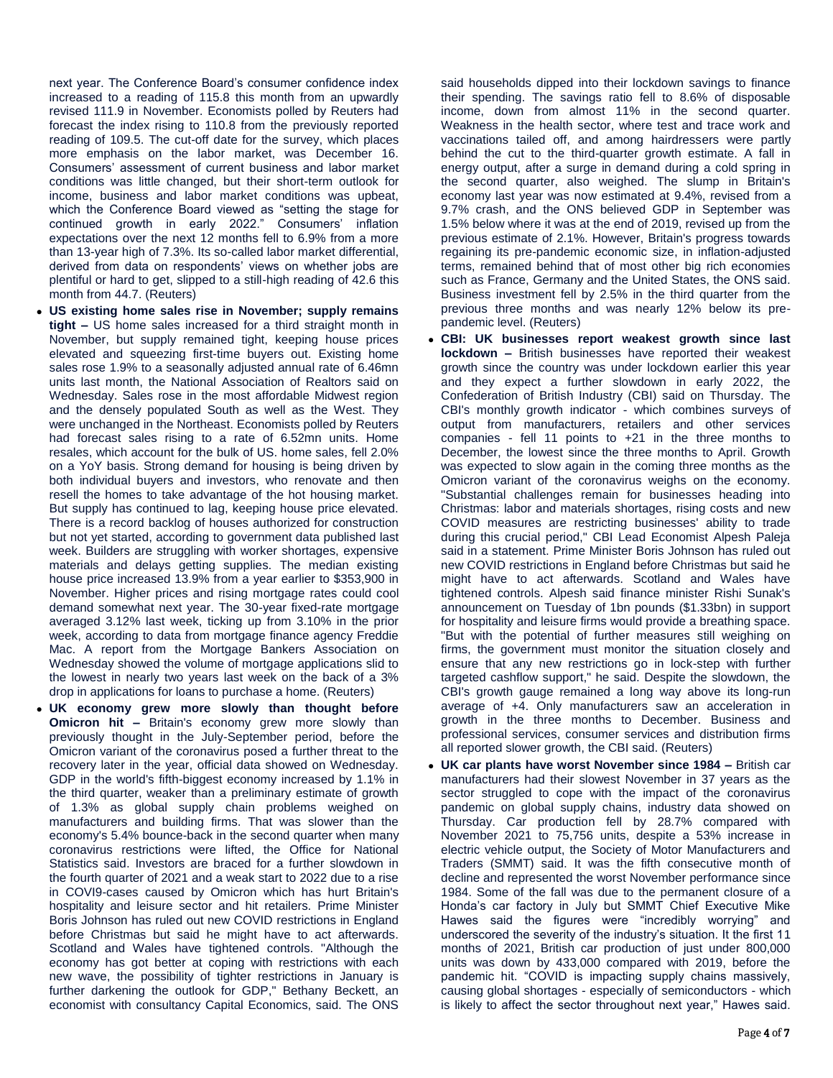next year. The Conference Board's consumer confidence index increased to a reading of 115.8 this month from an upwardly revised 111.9 in November. Economists polled by Reuters had forecast the index rising to 110.8 from the previously reported reading of 109.5. The cut-off date for the survey, which places more emphasis on the labor market, was December 16. Consumers' assessment of current business and labor market conditions was little changed, but their short-term outlook for income, business and labor market conditions was upbeat, which the Conference Board viewed as "setting the stage for continued growth in early 2022." Consumers' inflation expectations over the next 12 months fell to 6.9% from a more than 13-year high of 7.3%. Its so-called labor market differential, derived from data on respondents' views on whether jobs are plentiful or hard to get, slipped to a still-high reading of 42.6 this month from 44.7. (Reuters)

- **US existing home sales rise in November; supply remains tight –** US home sales increased for a third straight month in November, but supply remained tight, keeping house prices elevated and squeezing first-time buyers out. Existing home sales rose 1.9% to a seasonally adjusted annual rate of 6.46mn units last month, the National Association of Realtors said on Wednesday. Sales rose in the most affordable Midwest region and the densely populated South as well as the West. They were unchanged in the Northeast. Economists polled by Reuters had forecast sales rising to a rate of 6.52mn units. Home resales, which account for the bulk of US. home sales, fell 2.0% on a YoY basis. Strong demand for housing is being driven by both individual buyers and investors, who renovate and then resell the homes to take advantage of the hot housing market. But supply has continued to lag, keeping house price elevated. There is a record backlog of houses authorized for construction but not yet started, according to government data published last week. Builders are struggling with worker shortages, expensive materials and delays getting supplies. The median existing house price increased 13.9% from a year earlier to \$353,900 in November. Higher prices and rising mortgage rates could cool demand somewhat next year. The 30-year fixed-rate mortgage averaged 3.12% last week, ticking up from 3.10% in the prior week, according to data from mortgage finance agency Freddie Mac. A report from the Mortgage Bankers Association on Wednesday showed the volume of mortgage applications slid to the lowest in nearly two years last week on the back of a 3% drop in applications for loans to purchase a home. (Reuters)
- **UK economy grew more slowly than thought before Omicron hit –** Britain's economy grew more slowly than previously thought in the July-September period, before the Omicron variant of the coronavirus posed a further threat to the recovery later in the year, official data showed on Wednesday. GDP in the world's fifth-biggest economy increased by 1.1% in the third quarter, weaker than a preliminary estimate of growth of 1.3% as global supply chain problems weighed on manufacturers and building firms. That was slower than the economy's 5.4% bounce-back in the second quarter when many coronavirus restrictions were lifted, the Office for National Statistics said. Investors are braced for a further slowdown in the fourth quarter of 2021 and a weak start to 2022 due to a rise in COVI9-cases caused by Omicron which has hurt Britain's hospitality and leisure sector and hit retailers. Prime Minister Boris Johnson has ruled out new COVID restrictions in England before Christmas but said he might have to act afterwards. Scotland and Wales have tightened controls. "Although the economy has got better at coping with restrictions with each new wave, the possibility of tighter restrictions in January is further darkening the outlook for GDP," Bethany Beckett, an economist with consultancy Capital Economics, said. The ONS

said households dipped into their lockdown savings to finance their spending. The savings ratio fell to 8.6% of disposable income, down from almost 11% in the second quarter. Weakness in the health sector, where test and trace work and vaccinations tailed off, and among hairdressers were partly behind the cut to the third-quarter growth estimate. A fall in energy output, after a surge in demand during a cold spring in the second quarter, also weighed. The slump in Britain's economy last year was now estimated at 9.4%, revised from a 9.7% crash, and the ONS believed GDP in September was 1.5% below where it was at the end of 2019, revised up from the previous estimate of 2.1%. However, Britain's progress towards regaining its pre-pandemic economic size, in inflation-adjusted terms, remained behind that of most other big rich economies such as France, Germany and the United States, the ONS said. Business investment fell by 2.5% in the third quarter from the previous three months and was nearly 12% below its prepandemic level. (Reuters)

- **CBI: UK businesses report weakest growth since last lockdown –** British businesses have reported their weakest growth since the country was under lockdown earlier this year and they expect a further slowdown in early 2022, the Confederation of British Industry (CBI) said on Thursday. The CBI's monthly growth indicator - which combines surveys of output from manufacturers, retailers and other services companies - fell 11 points to +21 in the three months to December, the lowest since the three months to April. Growth was expected to slow again in the coming three months as the Omicron variant of the coronavirus weighs on the economy. "Substantial challenges remain for businesses heading into Christmas: labor and materials shortages, rising costs and new COVID measures are restricting businesses' ability to trade during this crucial period," CBI Lead Economist Alpesh Paleja said in a statement. Prime Minister Boris Johnson has ruled out new COVID restrictions in England before Christmas but said he might have to act afterwards. Scotland and Wales have tightened controls. Alpesh said finance minister Rishi Sunak's announcement on Tuesday of 1bn pounds (\$1.33bn) in support for hospitality and leisure firms would provide a breathing space. "But with the potential of further measures still weighing on firms, the government must monitor the situation closely and ensure that any new restrictions go in lock-step with further targeted cashflow support," he said. Despite the slowdown, the CBI's growth gauge remained a long way above its long-run average of +4. Only manufacturers saw an acceleration in growth in the three months to December. Business and professional services, consumer services and distribution firms all reported slower growth, the CBI said. (Reuters)
- **UK car plants have worst November since 1984 –** British car manufacturers had their slowest November in 37 years as the sector struggled to cope with the impact of the coronavirus pandemic on global supply chains, industry data showed on Thursday. Car production fell by 28.7% compared with November 2021 to 75,756 units, despite a 53% increase in electric vehicle output, the Society of Motor Manufacturers and Traders (SMMT) said. It was the fifth consecutive month of decline and represented the worst November performance since 1984. Some of the fall was due to the permanent closure of a Honda's car factory in July but SMMT Chief Executive Mike Hawes said the figures were "incredibly worrying" and underscored the severity of the industry's situation. It the first 11 months of 2021, British car production of just under 800,000 units was down by 433,000 compared with 2019, before the pandemic hit. "COVID is impacting supply chains massively, causing global shortages - especially of semiconductors - which is likely to affect the sector throughout next year," Hawes said.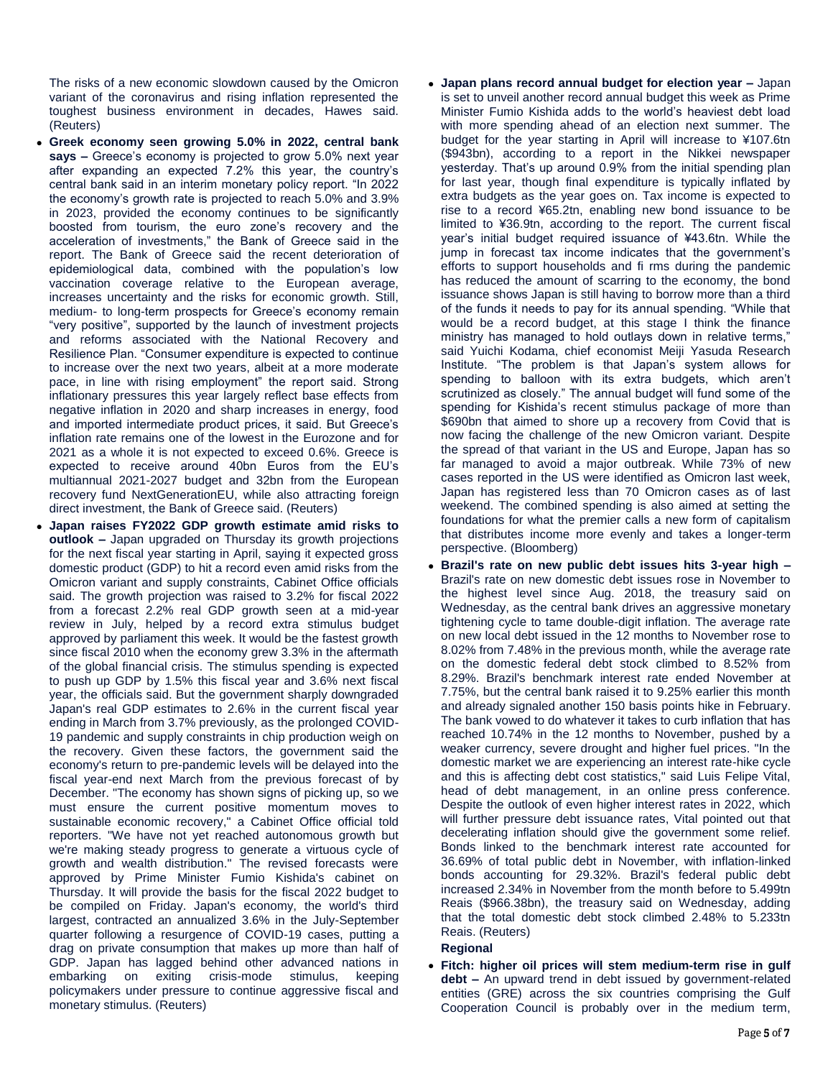The risks of a new economic slowdown caused by the Omicron variant of the coronavirus and rising inflation represented the toughest business environment in decades, Hawes said. (Reuters)

- **Greek economy seen growing 5.0% in 2022, central bank says –** Greece's economy is projected to grow 5.0% next year after expanding an expected 7.2% this year, the country's central bank said in an interim monetary policy report. "In 2022 the economy's growth rate is projected to reach 5.0% and 3.9% in 2023, provided the economy continues to be significantly boosted from tourism, the euro zone's recovery and the acceleration of investments," the Bank of Greece said in the report. The Bank of Greece said the recent deterioration of epidemiological data, combined with the population's low vaccination coverage relative to the European average, increases uncertainty and the risks for economic growth. Still, medium- to long-term prospects for Greece's economy remain "very positive", supported by the launch of investment projects and reforms associated with the National Recovery and Resilience Plan. "Consumer expenditure is expected to continue to increase over the next two years, albeit at a more moderate pace, in line with rising employment" the report said. Strong inflationary pressures this year largely reflect base effects from negative inflation in 2020 and sharp increases in energy, food and imported intermediate product prices, it said. But Greece's inflation rate remains one of the lowest in the Eurozone and for 2021 as a whole it is not expected to exceed 0.6%. Greece is expected to receive around 40bn Euros from the EU's multiannual 2021-2027 budget and 32bn from the European recovery fund NextGenerationEU, while also attracting foreign direct investment, the Bank of Greece said. (Reuters)
- **Japan raises FY2022 GDP growth estimate amid risks to outlook –** Japan upgraded on Thursday its growth projections for the next fiscal year starting in April, saying it expected gross domestic product (GDP) to hit a record even amid risks from the Omicron variant and supply constraints, Cabinet Office officials said. The growth projection was raised to 3.2% for fiscal 2022 from a forecast 2.2% real GDP growth seen at a mid-year review in July, helped by a record extra stimulus budget approved by parliament this week. It would be the fastest growth since fiscal 2010 when the economy grew 3.3% in the aftermath of the global financial crisis. The stimulus spending is expected to push up GDP by 1.5% this fiscal year and 3.6% next fiscal year, the officials said. But the government sharply downgraded Japan's real GDP estimates to 2.6% in the current fiscal year ending in March from 3.7% previously, as the prolonged COVID-19 pandemic and supply constraints in chip production weigh on the recovery. Given these factors, the government said the economy's return to pre-pandemic levels will be delayed into the fiscal year-end next March from the previous forecast of by December. "The economy has shown signs of picking up, so we must ensure the current positive momentum moves to sustainable economic recovery," a Cabinet Office official told reporters. "We have not yet reached autonomous growth but we're making steady progress to generate a virtuous cycle of growth and wealth distribution." The revised forecasts were approved by Prime Minister Fumio Kishida's cabinet on Thursday. It will provide the basis for the fiscal 2022 budget to be compiled on Friday. Japan's economy, the world's third largest, contracted an annualized 3.6% in the July-September quarter following a resurgence of COVID-19 cases, putting a drag on private consumption that makes up more than half of GDP. Japan has lagged behind other advanced nations in embarking on exiting crisis-mode stimulus, keeping policymakers under pressure to continue aggressive fiscal and monetary stimulus. (Reuters)
- **Japan plans record annual budget for election year –** Japan is set to unveil another record annual budget this week as Prime Minister Fumio Kishida adds to the world's heaviest debt load with more spending ahead of an election next summer. The budget for the year starting in April will increase to ¥107.6tn (\$943bn), according to a report in the Nikkei newspaper yesterday. That's up around 0.9% from the initial spending plan for last year, though final expenditure is typically inflated by extra budgets as the year goes on. Tax income is expected to rise to a record ¥65.2tn, enabling new bond issuance to be limited to ¥36.9tn, according to the report. The current fiscal year's initial budget required issuance of ¥43.6tn. While the jump in forecast tax income indicates that the government's efforts to support households and fi rms during the pandemic has reduced the amount of scarring to the economy, the bond issuance shows Japan is still having to borrow more than a third of the funds it needs to pay for its annual spending. "While that would be a record budget, at this stage I think the finance ministry has managed to hold outlays down in relative terms," said Yuichi Kodama, chief economist Meiji Yasuda Research Institute. "The problem is that Japan's system allows for spending to balloon with its extra budgets, which aren't scrutinized as closely." The annual budget will fund some of the spending for Kishida's recent stimulus package of more than \$690bn that aimed to shore up a recovery from Covid that is now facing the challenge of the new Omicron variant. Despite the spread of that variant in the US and Europe, Japan has so far managed to avoid a major outbreak. While 73% of new cases reported in the US were identified as Omicron last week, Japan has registered less than 70 Omicron cases as of last weekend. The combined spending is also aimed at setting the foundations for what the premier calls a new form of capitalism that distributes income more evenly and takes a longer-term perspective. (Bloomberg)
- **Brazil's rate on new public debt issues hits 3-year high –** Brazil's rate on new domestic debt issues rose in November to the highest level since Aug. 2018, the treasury said on Wednesday, as the central bank drives an aggressive monetary tightening cycle to tame double-digit inflation. The average rate on new local debt issued in the 12 months to November rose to 8.02% from 7.48% in the previous month, while the average rate on the domestic federal debt stock climbed to 8.52% from 8.29%. Brazil's benchmark interest rate ended November at 7.75%, but the central bank raised it to 9.25% earlier this month and already signaled another 150 basis points hike in February. The bank vowed to do whatever it takes to curb inflation that has reached 10.74% in the 12 months to November, pushed by a weaker currency, severe drought and higher fuel prices. "In the domestic market we are experiencing an interest rate-hike cycle and this is affecting debt cost statistics," said Luis Felipe Vital, head of debt management, in an online press conference. Despite the outlook of even higher interest rates in 2022, which will further pressure debt issuance rates, Vital pointed out that decelerating inflation should give the government some relief. Bonds linked to the benchmark interest rate accounted for 36.69% of total public debt in November, with inflation-linked bonds accounting for 29.32%. Brazil's federal public debt increased 2.34% in November from the month before to 5.499tn Reais (\$966.38bn), the treasury said on Wednesday, adding that the total domestic debt stock climbed 2.48% to 5.233tn Reais. (Reuters)

### **Regional**

 **Fitch: higher oil prices will stem medium-term rise in gulf debt –** An upward trend in debt issued by government-related entities (GRE) across the six countries comprising the Gulf Cooperation Council is probably over in the medium term,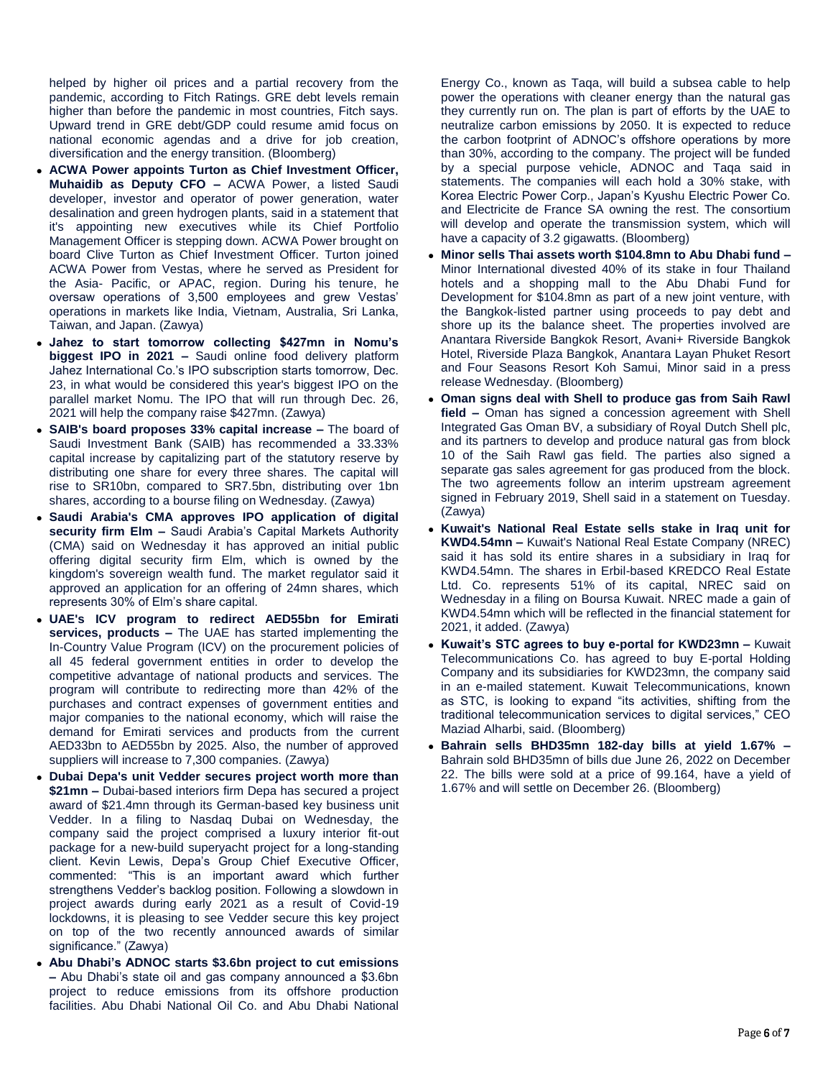helped by higher oil prices and a partial recovery from the pandemic, according to Fitch Ratings. GRE debt levels remain higher than before the pandemic in most countries, Fitch says. Upward trend in GRE debt/GDP could resume amid focus on national economic agendas and a drive for job creation, diversification and the energy transition. (Bloomberg)

- **ACWA Power appoints Turton as Chief Investment Officer, Muhaidib as Deputy CFO –** ACWA Power, a listed Saudi developer, investor and operator of power generation, water desalination and green hydrogen plants, said in a statement that it's appointing new executives while its Chief Portfolio Management Officer is stepping down. ACWA Power brought on board Clive Turton as Chief Investment Officer. Turton joined ACWA Power from Vestas, where he served as President for the Asia- Pacific, or APAC, region. During his tenure, he oversaw operations of 3,500 employees and grew Vestas' operations in markets like India, Vietnam, Australia, Sri Lanka, Taiwan, and Japan. (Zawya)
- **Jahez to start tomorrow collecting \$427mn in Nomu's biggest IPO in 2021 –** Saudi online food delivery platform Jahez International Co.'s IPO subscription starts tomorrow, Dec. 23, in what would be considered this year's biggest IPO on the parallel market Nomu. The IPO that will run through Dec. 26, 2021 will help the company raise \$427mn. (Zawya)
- **SAIB's board proposes 33% capital increase –** The board of Saudi Investment Bank (SAIB) has recommended a 33.33% capital increase by capitalizing part of the statutory reserve by distributing one share for every three shares. The capital will rise to SR10bn, compared to SR7.5bn, distributing over 1bn shares, according to a bourse filing on Wednesday. (Zawya)
- **Saudi Arabia's CMA approves IPO application of digital security firm Elm –** Saudi Arabia's Capital Markets Authority (CMA) said on Wednesday it has approved an initial public offering digital security firm Elm, which is owned by the kingdom's sovereign wealth fund. The market regulator said it approved an application for an offering of 24mn shares, which represents 30% of Elm's share capital.
- **UAE's ICV program to redirect AED55bn for Emirati services, products –** The UAE has started implementing the In-Country Value Program (ICV) on the procurement policies of all 45 federal government entities in order to develop the competitive advantage of national products and services. The program will contribute to redirecting more than 42% of the purchases and contract expenses of government entities and major companies to the national economy, which will raise the demand for Emirati services and products from the current AED33bn to AED55bn by 2025. Also, the number of approved suppliers will increase to 7,300 companies. (Zawya)
- **Dubai Depa's unit Vedder secures project worth more than \$21mn –** Dubai-based interiors firm Depa has secured a project award of \$21.4mn through its German-based key business unit Vedder. In a filing to Nasdaq Dubai on Wednesday, the company said the project comprised a luxury interior fit-out package for a new-build superyacht project for a long-standing client. Kevin Lewis, Depa's Group Chief Executive Officer, commented: "This is an important award which further strengthens Vedder's backlog position. Following a slowdown in project awards during early 2021 as a result of Covid-19 lockdowns, it is pleasing to see Vedder secure this key project on top of the two recently announced awards of similar significance." (Zawya)
- **Abu Dhabi's ADNOC starts \$3.6bn project to cut emissions –** Abu Dhabi's state oil and gas company announced a \$3.6bn project to reduce emissions from its offshore production facilities. Abu Dhabi National Oil Co. and Abu Dhabi National

Energy Co., known as Taqa, will build a subsea cable to help power the operations with cleaner energy than the natural gas they currently run on. The plan is part of efforts by the UAE to neutralize carbon emissions by 2050. It is expected to reduce the carbon footprint of ADNOC's offshore operations by more than 30%, according to the company. The project will be funded by a special purpose vehicle, ADNOC and Taqa said in statements. The companies will each hold a 30% stake, with Korea Electric Power Corp., Japan's Kyushu Electric Power Co. and Electricite de France SA owning the rest. The consortium will develop and operate the transmission system, which will have a capacity of 3.2 gigawatts. (Bloomberg)

- **Minor sells Thai assets worth \$104.8mn to Abu Dhabi fund –** Minor International divested 40% of its stake in four Thailand hotels and a shopping mall to the Abu Dhabi Fund for Development for \$104.8mn as part of a new joint venture, with the Bangkok-listed partner using proceeds to pay debt and shore up its the balance sheet. The properties involved are Anantara Riverside Bangkok Resort, Avani+ Riverside Bangkok Hotel, Riverside Plaza Bangkok, Anantara Layan Phuket Resort and Four Seasons Resort Koh Samui, Minor said in a press release Wednesday. (Bloomberg)
- **Oman signs deal with Shell to produce gas from Saih Rawl field –** Oman has signed a concession agreement with Shell Integrated Gas Oman BV, a subsidiary of Royal Dutch Shell plc, and its partners to develop and produce natural gas from block 10 of the Saih Rawl gas field. The parties also signed a separate gas sales agreement for gas produced from the block. The two agreements follow an interim upstream agreement signed in February 2019, Shell said in a statement on Tuesday. (Zawya)
- **Kuwait's National Real Estate sells stake in Iraq unit for KWD4.54mn –** Kuwait's National Real Estate Company (NREC) said it has sold its entire shares in a subsidiary in Iraq for KWD4.54mn. The shares in Erbil-based KREDCO Real Estate Ltd. Co. represents 51% of its capital, NREC said on Wednesday in a filing on Boursa Kuwait. NREC made a gain of KWD4.54mn which will be reflected in the financial statement for 2021, it added. (Zawya)
- **Kuwait's STC agrees to buy e-portal for KWD23mn –** Kuwait Telecommunications Co. has agreed to buy E-portal Holding Company and its subsidiaries for KWD23mn, the company said in an e-mailed statement. Kuwait Telecommunications, known as STC, is looking to expand "its activities, shifting from the traditional telecommunication services to digital services," CEO Maziad Alharbi, said. (Bloomberg)
- **Bahrain sells BHD35mn 182-day bills at yield 1.67% –** Bahrain sold BHD35mn of bills due June 26, 2022 on December 22. The bills were sold at a price of 99.164, have a yield of 1.67% and will settle on December 26. (Bloomberg)